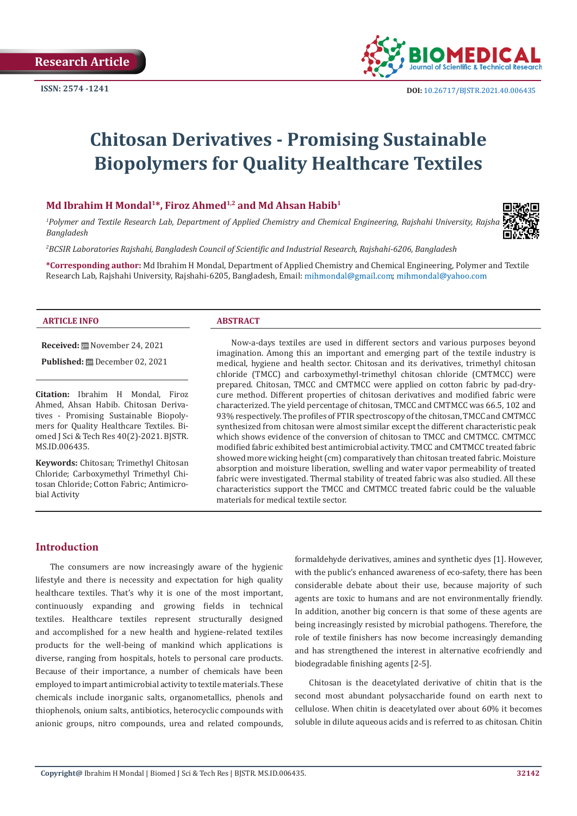

# **Chitosan Derivatives - Promising Sustainable Biopolymers for Quality Healthcare Textiles**

# Md Ibrahim H Mondal<sup>1\*</sup>, Firoz Ahmed<sup>1,2</sup> and Md Ahsan Habib<sup>1</sup>

*1 Polymer and Textile Research Lab, Department of Applied Chemistry and Chemical Engineering, Rajshahi University, Rajshahi-6205, Bangladesh* 

*2 BCSIR Laboratories Rajshahi, Bangladesh Council of Scientific and Industrial Research, Rajshahi-6206, Bangladesh*

**\*Corresponding author:** Md Ibrahim H Mondal, Department of Applied Chemistry and Chemical Engineering, Polymer and Textile Research Lab, Rajshahi University, Rajshahi-6205, Bangladesh, Email: mihmondal@gmail.com; mihmondal@yahoo.com

#### **ARTICLE INFO ABSTRACT**

#### **Received:** November 24, 2021

**Published:** December 02, 2021

**Citation:** Ibrahim H Mondal, Firoz Ahmed, Ahsan Habib. Chitosan Derivatives - Promising Sustainable Biopolymers for Quality Healthcare Textiles. Biomed J Sci & Tech Res 40(2)-2021. BJSTR. MS.ID.006435.

**Keywords:** Chitosan; Trimethyl Chitosan Chloride; Carboxymethyl Trimethyl Chitosan Chloride; Cotton Fabric; Antimicrobial Activity

Now-a-days textiles are used in different sectors and various purposes beyond imagination. Among this an important and emerging part of the textile industry is medical, hygiene and health sector. Chitosan and its derivatives, trimethyl chitosan chloride (TMCC) and carboxymethyl-trimethyl chitosan chloride (CMTMCC) were prepared. Chitosan, TMCC and CMTMCC were applied on cotton fabric by pad-drycure method. Different properties of chitosan derivatives and modified fabric were characterized. The yield percentage of chitosan, TMCC and CMTMCC was 66.5, 102 and 93% respectively. The profiles of FTIR spectroscopy of the chitosan, TMCC and CMTMCC synthesized from chitosan were almost similar except the different characteristic peak which shows evidence of the conversion of chitosan to TMCC and CMTMCC. CMTMCC modified fabric exhibited best antimicrobial activity. TMCC and CMTMCC treated fabric showed more wicking height (cm) comparatively than chitosan treated fabric. Moisture absorption and moisture liberation, swelling and water vapor permeability of treated fabric were investigated. Thermal stability of treated fabric was also studied. All these characteristics support the TMCC and CMTMCC treated fabric could be the valuable materials for medical textile sector.

# **Introduction**

The consumers are now increasingly aware of the hygienic lifestyle and there is necessity and expectation for high quality healthcare textiles. That's why it is one of the most important, continuously expanding and growing fields in technical textiles. Healthcare textiles represent structurally designed and accomplished for a new health and hygiene-related textiles products for the well-being of mankind which applications is diverse, ranging from hospitals, hotels to personal care products. Because of their importance, a number of chemicals have been employed to impart antimicrobial activity to textile materials. These chemicals include inorganic salts, organometallics, phenols and thiophenols, onium salts, antibiotics, heterocyclic compounds with anionic groups, nitro compounds, urea and related compounds,

formaldehyde derivatives, amines and synthetic dyes [1]. However, with the public's enhanced awareness of eco-safety, there has been considerable debate about their use, because majority of such agents are toxic to humans and are not environmentally friendly. In addition, another big concern is that some of these agents are being increasingly resisted by microbial pathogens. Therefore, the role of textile finishers has now become increasingly demanding and has strengthened the interest in alternative ecofriendly and biodegradable finishing agents [2-5].

Chitosan is the deacetylated derivative of chitin that is the second most abundant polysaccharide found on earth next to cellulose. When chitin is deacetylated over about 60% it becomes soluble in dilute aqueous acids and is referred to as chitosan. Chitin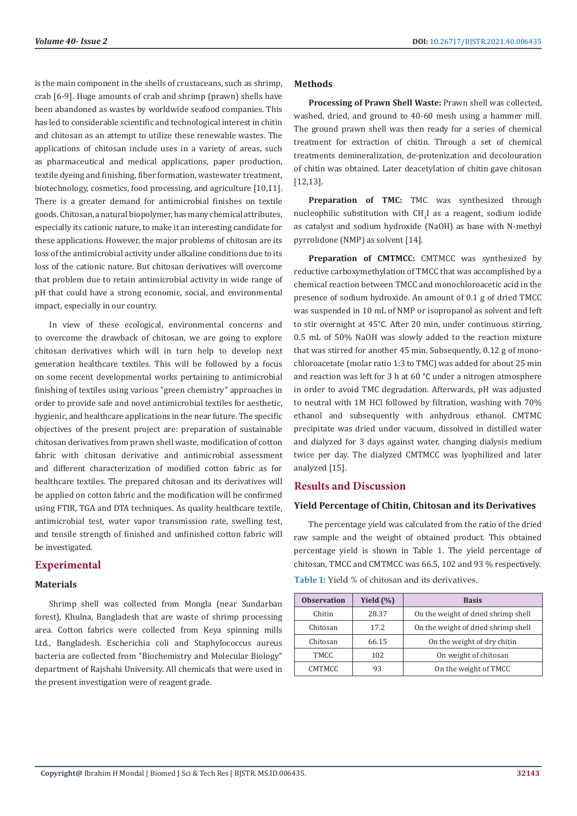is the main component in the shells of crustaceans, such as shrimp, crab [6-9]. Huge amounts of crab and shrimp (prawn) shells have been abandoned as wastes by worldwide seafood companies. This has led to considerable scientific and technological interest in chitin and chitosan as an attempt to utilize these renewable wastes. The applications of chitosan include uses in a variety of areas, such as pharmaceutical and medical applications, paper production, textile dyeing and finishing, fiber formation, wastewater treatment, biotechnology, cosmetics, food processing, and agriculture [10,11]. There is a greater demand for antimicrobial finishes on textile goods. Chitosan, a natural biopolymer, has many chemical attributes, especially its cationic nature, to make it an interesting candidate for these applications. However, the major problems of chitosan are its loss of the antimicrobial activity under alkaline conditions due to its loss of the cationic nature. But chitosan derivatives will overcome that problem due to retain antimicrobial activity in wide range of pH that could have a strong economic, social, and environmental impact, especially in our country.

In view of these ecological, environmental concerns and to overcome the drawback of chitosan, we are going to explore chitosan derivatives which will in turn help to develop next generation healthcare textiles. This will be followed by a focus on some recent developmental works pertaining to antimicrobial finishing of textiles using various "green chemistry" approaches in order to provide safe and novel antimicrobial textiles for aesthetic, hygienic, and healthcare applications in the near future. The specific objectives of the present project are: preparation of sustainable chitosan derivatives from prawn shell waste, modification of cotton fabric with chitosan derivative and antimicrobial assessment and different characterization of modified cotton fabric as for healthcare textiles. The prepared chitosan and its derivatives will be applied on cotton fabric and the modification will be confirmed using FTIR, TGA and DTA techniques. As quality healthcare textile, antimicrobial test, water vapor transmission rate, swelling test, and tensile strength of finished and unfinished cotton fabric will be investigated.

# **Experimental**

#### **Materials**

Shrimp shell was collected from Mongla (near Sundarban forest), Khulna, Bangladesh that are waste of shrimp processing area. Cotton fabrics were collected from Keya spinning mills Ltd., Bangladesh. Escherichia coli and Staphylococcus aureus bacteria are collected from "Biochemistry and Molecular Biology" department of Rajshahi University. All chemicals that were used in the present investigation were of reagent grade.

#### **Methods**

**Processing of Prawn Shell Waste:** Prawn shell was collected, washed, dried, and ground to 40-60 mesh using a hammer mill. The ground prawn shell was then ready for a series of chemical treatment for extraction of chitin. Through a set of chemical treatments demineralization, de-protenization and decolouration of chitin was obtained. Later deacetylation of chitin gave chitosan [12,13].

**Preparation of TMC:** TMC was synthesized through nucleophilic substitution with  $CH_{3}$ I as a reagent, sodium iodide as catalyst and sodium hydroxide (NaOH) as base with N-methyl pyrrolidone (NMP) as solvent [14].

**Preparation of CMTMCC:** CMTMCC was synthesized by reductive carboxymethylation of TMCC that was accomplished by a chemical reaction between TMCC and monochloroacetic acid in the presence of sodium hydroxide. An amount of 0.1 g of dried TMCC was suspended in 10 mL of NMP or isopropanol as solvent and left to stir overnight at 45°C. After 20 min, under continuous stirring, 0.5 mL of 50% NaOH was slowly added to the reaction mixture that was stirred for another 45 min. Subsequently, 0.12 g of monochloroacetate (molar ratio 1:3 to TMC) was added for about 25 min and reaction was left for 3 h at 60 °C under a nitrogen atmosphere in order to avoid TMC degradation. Afterwards, pH was adjusted to neutral with 1M HCl followed by filtration, washing with 70% ethanol and subsequently with anhydrous ethanol. CMTMC precipitate was dried under vacuum, dissolved in distilled water and dialyzed for 3 days against water, changing dialysis medium twice per day. The dialyzed CMTMCC was lyophilized and later analyzed [15].

# **Results and Discussion**

#### **Yield Percentage of Chitin, Chitosan and its Derivatives**

The percentage yield was calculated from the ratio of the dried raw sample and the weight of obtained product. This obtained percentage yield is shown in Table 1. The yield percentage of chitosan, TMCC and CMTMCC was 66.5, 102 and 93 % respectively.

| <b>Observation</b> | Yield $(\% )$ | <b>Basis</b>                        |  |
|--------------------|---------------|-------------------------------------|--|
| Chitin             | 28.37         | On the weight of dried shrimp shell |  |
| Chitosan           | 17.2.         | On the weight of dried shrimp shell |  |
| Chitosan           | 66.15         | On the weight of dry chitin         |  |
| TMCC               | 102           | On weight of chitosan               |  |
| <b>CMTMCC</b>      | 93            | On the weight of TMCC               |  |

**Table 1:** Yield % of chitosan and its derivatives.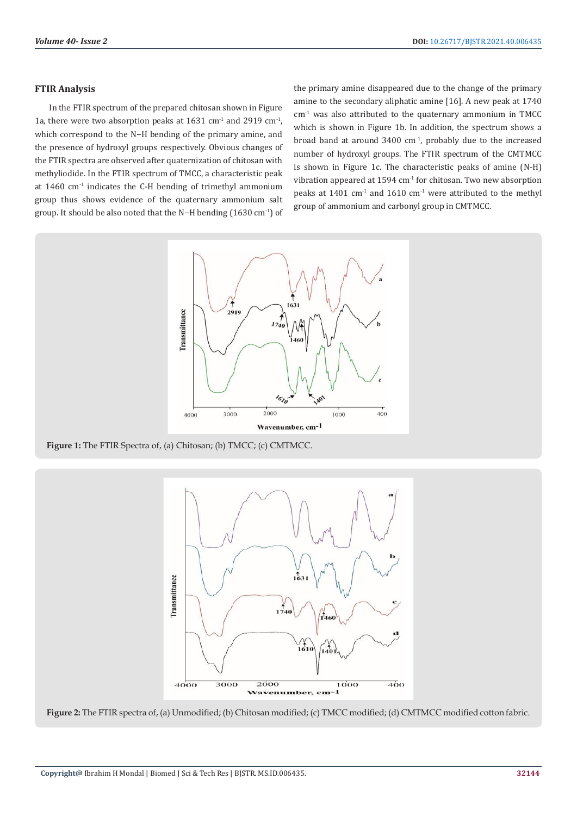#### **FTIR Analysis**

In the FTIR spectrum of the prepared chitosan shown in Figure 1a, there were two absorption peaks at  $1631 \text{ cm}^1$  and  $2919 \text{ cm}^1$ , which correspond to the N−H bending of the primary amine, and the presence of hydroxyl groups respectively. Obvious changes of the FTIR spectra are observed after quaternization of chitosan with methyliodide. In the FTIR spectrum of TMCC, a characteristic peak at 1460 cm-1 indicates the C-H bending of trimethyl ammonium group thus shows evidence of the quaternary ammonium salt group. It should be also noted that the N−H bending (1630 cm-1) of the primary amine disappeared due to the change of the primary amine to the secondary aliphatic amine [16]. A new peak at 1740  $cm<sup>-1</sup>$  was also attributed to the quaternary ammonium in TMCC which is shown in Figure 1b. In addition, the spectrum shows a broad band at around  $3400 \text{ cm}^1$ , probably due to the increased number of hydroxyl groups. The FTIR spectrum of the CMTMCC is shown in Figure 1c. The characteristic peaks of amine (N-H) vibration appeared at  $1594 \text{ cm}^{-1}$  for chitosan. Two new absorption peaks at  $1401$  cm<sup>-1</sup> and  $1610$  cm<sup>-1</sup> were attributed to the methyl group of ammonium and carbonyl group in CMTMCC.



**Figure 1:** The FTIR Spectra of, (a) Chitosan; (b) TMCC; (c) CMTMCC.



**Figure 2:** The FTIR spectra of, (a) Unmodified; (b) Chitosan modified; (c) TMCC modified; (d) CMTMCC modified cotton fabric.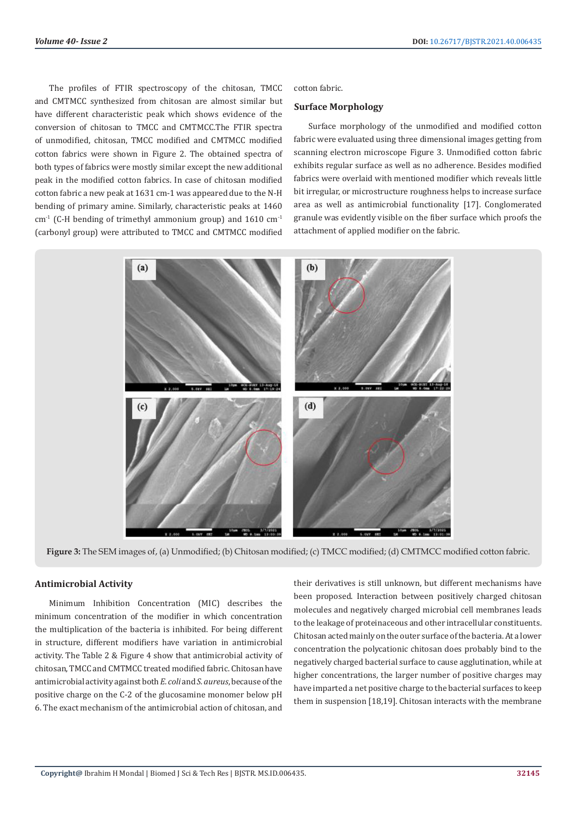The profiles of FTIR spectroscopy of the chitosan, TMCC and CMTMCC synthesized from chitosan are almost similar but have different characteristic peak which shows evidence of the conversion of chitosan to TMCC and CMTMCC.The FTIR spectra of unmodified, chitosan, TMCC modified and CMTMCC modified cotton fabrics were shown in Figure 2. The obtained spectra of both types of fabrics were mostly similar except the new additional peak in the modified cotton fabrics. In case of chitosan modified cotton fabric a new peak at 1631 cm-1 was appeared due to the N-H bending of primary amine. Similarly, characteristic peaks at 1460  $cm<sup>-1</sup>$  (C-H bending of trimethyl ammonium group) and 1610  $cm<sup>-1</sup>$ (carbonyl group) were attributed to TMCC and CMTMCC modified

cotton fabric.

#### **Surface Morphology**

Surface morphology of the unmodified and modified cotton fabric were evaluated using three dimensional images getting from scanning electron microscope Figure 3. Unmodified cotton fabric exhibits regular surface as well as no adherence. Besides modified fabrics were overlaid with mentioned modifier which reveals little bit irregular, or microstructure roughness helps to increase surface area as well as antimicrobial functionality [17]. Conglomerated granule was evidently visible on the fiber surface which proofs the attachment of applied modifier on the fabric.



**Figure 3:** The SEM images of, (a) Unmodified; (b) Chitosan modified; (c) TMCC modified; (d) CMTMCC modified cotton fabric.

## **Antimicrobial Activity**

Minimum Inhibition Concentration (MIC) describes the minimum concentration of the modifier in which concentration the multiplication of the bacteria is inhibited. For being different in structure, different modifiers have variation in antimicrobial activity. The Table 2 & Figure 4 show that antimicrobial activity of chitosan, TMCC and CMTMCC treated modified fabric. Chitosan have antimicrobial activity against both *E. coli* and *S. aureus*, because of the positive charge on the C-2 of the glucosamine monomer below pH 6. The exact mechanism of the antimicrobial action of chitosan, and

their derivatives is still unknown, but different mechanisms have been proposed. Interaction between positively charged chitosan molecules and negatively charged microbial cell membranes leads to the leakage of proteinaceous and other intracellular constituents. Chitosan acted mainly on the outer surface of the bacteria. At a lower concentration the polycationic chitosan does probably bind to the negatively charged bacterial surface to cause agglutination, while at higher concentrations, the larger number of positive charges may have imparted a net positive charge to the bacterial surfaces to keep them in suspension [18,19]. Chitosan interacts with the membrane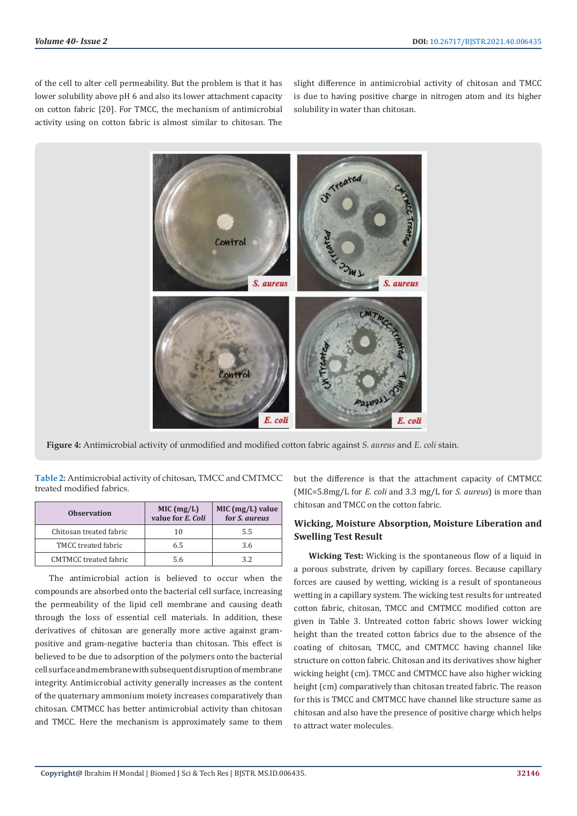of the cell to alter cell permeability. But the problem is that it has lower solubility above pH 6 and also its lower attachment capacity on cotton fabric [20]. For TMCC, the mechanism of antimicrobial activity using on cotton fabric is almost similar to chitosan. The

slight difference in antimicrobial activity of chitosan and TMCC is due to having positive charge in nitrogen atom and its higher solubility in water than chitosan.



**Figure 4:** Antimicrobial activity of unmodified and modified cotton fabric against *S. aureus* and *E. coli* stain.

**Table 2:** Antimicrobial activity of chitosan, TMCC and CMTMCC treated modified fabrics.

| <b>Observation</b>           | MIC (mg/L)<br>value for E. Coli | $MIC (mg/L)$ value<br>for <i>S. aureus</i> |  |
|------------------------------|---------------------------------|--------------------------------------------|--|
| Chitosan treated fabric      | 10                              | 5.5                                        |  |
| TMCC treated fabric          | 6.5                             | 3.6                                        |  |
| <b>CMTMCC</b> treated fabric | 5.6                             | 3.2                                        |  |

The antimicrobial action is believed to occur when the compounds are absorbed onto the bacterial cell surface, increasing the permeability of the lipid cell membrane and causing death through the loss of essential cell materials. In addition, these derivatives of chitosan are generally more active against grampositive and gram-negative bacteria than chitosan. This effect is believed to be due to adsorption of the polymers onto the bacterial cell surface and membrane with subsequent disruption of membrane integrity. Antimicrobial activity generally increases as the content of the quaternary ammonium moiety increases comparatively than chitosan. CMTMCC has better antimicrobial activity than chitosan and TMCC. Here the mechanism is approximately same to them but the difference is that the attachment capacity of CMTMCC (MIC=5.8mg/L for *E. coli* and 3.3 mg/L for *S. aureus*) is more than chitosan and TMCC on the cotton fabric.

# **Wicking, Moisture Absorption, Moisture Liberation and Swelling Test Result**

**Wicking Test:** Wicking is the spontaneous flow of a liquid in a porous substrate, driven by capillary forces. Because capillary forces are caused by wetting, wicking is a result of spontaneous wetting in a capillary system. The wicking test results for untreated cotton fabric, chitosan, TMCC and CMTMCC modified cotton are given in Table 3. Untreated cotton fabric shows lower wicking height than the treated cotton fabrics due to the absence of the coating of chitosan, TMCC, and CMTMCC having channel like structure on cotton fabric. Chitosan and its derivatives show higher wicking height (cm). TMCC and CMTMCC have also higher wicking height (cm) comparatively than chitosan treated fabric. The reason for this is TMCC and CMTMCC have channel like structure same as chitosan and also have the presence of positive charge which helps to attract water molecules.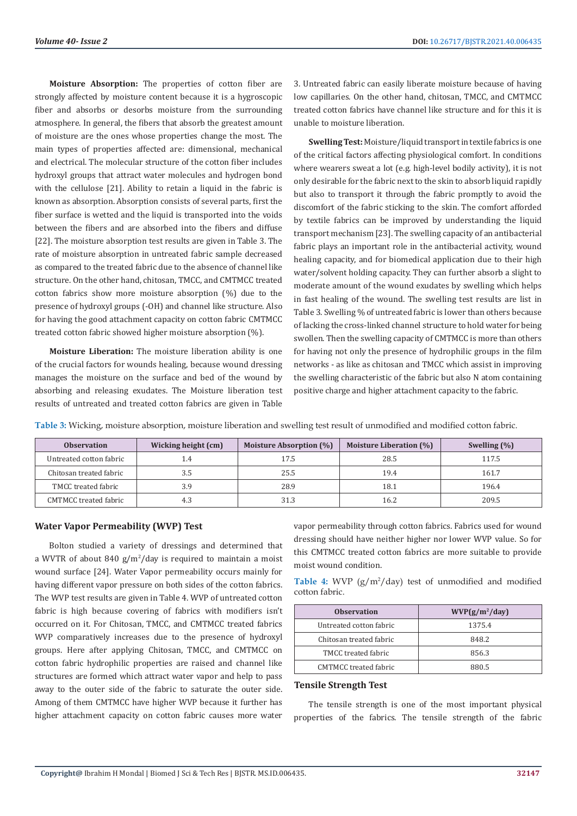**Moisture Absorption:** The properties of cotton fiber are strongly affected by moisture content because it is a hygroscopic fiber and absorbs or desorbs moisture from the surrounding atmosphere. In general, the fibers that absorb the greatest amount of moisture are the ones whose properties change the most. The main types of properties affected are: dimensional, mechanical and electrical. The molecular structure of the cotton fiber includes hydroxyl groups that attract water molecules and hydrogen bond with the cellulose [21]. Ability to retain a liquid in the fabric is known as absorption. Absorption consists of several parts, first the fiber surface is wetted and the liquid is transported into the voids between the fibers and are absorbed into the fibers and diffuse [22]. The moisture absorption test results are given in Table 3. The rate of moisture absorption in untreated fabric sample decreased as compared to the treated fabric due to the absence of channel like structure. On the other hand, chitosan, TMCC, and CMTMCC treated cotton fabrics show more moisture absorption (%) due to the presence of hydroxyl groups (-OH) and channel like structure. Also for having the good attachment capacity on cotton fabric CMTMCC treated cotton fabric showed higher moisture absorption (%).

**Moisture Liberation:** The moisture liberation ability is one of the crucial factors for wounds healing, because wound dressing manages the moisture on the surface and bed of the wound by absorbing and releasing exudates. The Moisture liberation test results of untreated and treated cotton fabrics are given in Table

3. Untreated fabric can easily liberate moisture because of having low capillaries. On the other hand, chitosan, TMCC, and CMTMCC treated cotton fabrics have channel like structure and for this it is unable to moisture liberation.

**Swelling Test:** Moisture/liquid transport in textile fabrics is one of the critical factors affecting physiological comfort. In conditions where wearers sweat a lot (e.g. high-level bodily activity), it is not only desirable for the fabric next to the skin to absorb liquid rapidly but also to transport it through the fabric promptly to avoid the discomfort of the fabric sticking to the skin. The comfort afforded by textile fabrics can be improved by understanding the liquid transport mechanism [23]. The swelling capacity of an antibacterial fabric plays an important role in the antibacterial activity, wound healing capacity, and for biomedical application due to their high water/solvent holding capacity. They can further absorb a slight to moderate amount of the wound exudates by swelling which helps in fast healing of the wound. The swelling test results are list in Table 3. Swelling % of untreated fabric is lower than others because of lacking the cross-linked channel structure to hold water for being swollen. Then the swelling capacity of CMTMCC is more than others for having not only the presence of hydrophilic groups in the film networks - as like as chitosan and TMCC which assist in improving the swelling characteristic of the fabric but also N atom containing positive charge and higher attachment capacity to the fabric.

| <b>Observation</b>      | Wicking height (cm) | <b>Moisture Absorption (%)</b> | Moisture Liberation (%) | Swelling $(\% )$ |
|-------------------------|---------------------|--------------------------------|-------------------------|------------------|
| Untreated cotton fabric | 1.4                 | 17.5                           | 28.5                    | 117.5            |
| Chitosan treated fabric | 3.5                 | 25.5                           | 19.4                    | 161.7            |
| TMCC treated fabric     | 3.9                 | 28.9                           | 18.1                    | 196.4            |
| CMTMCC treated fabric   | 4.3                 |                                | 16.2                    | 209.5            |

**Table 3:** Wicking, moisture absorption, moisture liberation and swelling test result of unmodified and modified cotton fabric.

## **Water Vapor Permeability (WVP) Test**

Bolton studied a variety of dressings and determined that a WVTR of about 840 g/m<sup>2</sup> /day is required to maintain a moist wound surface [24]. Water Vapor permeability occurs mainly for having different vapor pressure on both sides of the cotton fabrics. The WVP test results are given in Table 4. WVP of untreated cotton fabric is high because covering of fabrics with modifiers isn't occurred on it. For Chitosan, TMCC, and CMTMCC treated fabrics WVP comparatively increases due to the presence of hydroxyl groups. Here after applying Chitosan, TMCC, and CMTMCC on cotton fabric hydrophilic properties are raised and channel like structures are formed which attract water vapor and help to pass away to the outer side of the fabric to saturate the outer side. Among of them CMTMCC have higher WVP because it further has higher attachment capacity on cotton fabric causes more water vapor permeability through cotton fabrics. Fabrics used for wound dressing should have neither higher nor lower WVP value. So for this CMTMCC treated cotton fabrics are more suitable to provide moist wound condition.

**Table 4:** WVP  $(g/m^2/day)$  test of unmodified and modified cotton fabric.

| <b>Observation</b>      | $WVP(g/m^2/day)$ |  |  |
|-------------------------|------------------|--|--|
| Untreated cotton fabric | 1375.4           |  |  |
| Chitosan treated fabric | 848.2            |  |  |
| TMCC treated fabric     | 856.3            |  |  |
| CMTMCC treated fabric   | 880 5            |  |  |

## **Tensile Strength Test**

The tensile strength is one of the most important physical properties of the fabrics. The tensile strength of the fabric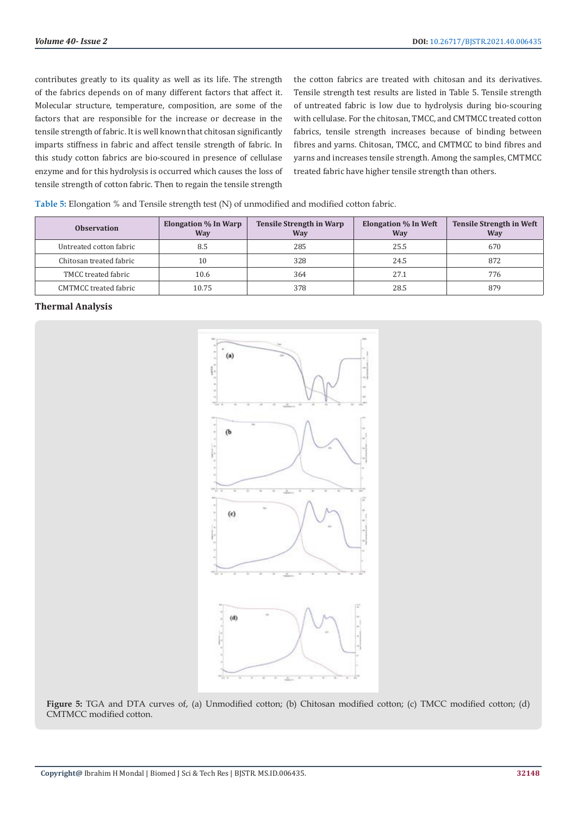contributes greatly to its quality as well as its life. The strength of the fabrics depends on of many different factors that affect it. Molecular structure, temperature, composition, are some of the factors that are responsible for the increase or decrease in the tensile strength of fabric. It is well known that chitosan significantly imparts stiffness in fabric and affect tensile strength of fabric. In this study cotton fabrics are bio-scoured in presence of cellulase enzyme and for this hydrolysis is occurred which causes the loss of tensile strength of cotton fabric. Then to regain the tensile strength

the cotton fabrics are treated with chitosan and its derivatives. Tensile strength test results are listed in Table 5. Tensile strength of untreated fabric is low due to hydrolysis during bio-scouring with cellulase. For the chitosan, TMCC, and CMTMCC treated cotton fabrics, tensile strength increases because of binding between fibres and yarns. Chitosan, TMCC, and CMTMCC to bind fibres and yarns and increases tensile strength. Among the samples, CMTMCC treated fabric have higher tensile strength than others.

| Table 5: Elongation % and Tensile strength test (N) of unmodified and modified cotton fabric. |  |  |  |
|-----------------------------------------------------------------------------------------------|--|--|--|
|-----------------------------------------------------------------------------------------------|--|--|--|

| <b>Observation</b>           | <b>Elongation</b> % In Warp<br>Way | <b>Tensile Strength in Warp</b><br><b>Way</b> | <b>Elongation % In Weft</b><br>Way | <b>Tensile Strength in Weft</b><br><b>Way</b> |
|------------------------------|------------------------------------|-----------------------------------------------|------------------------------------|-----------------------------------------------|
| Untreated cotton fabric      | 8.5                                | 285                                           | 25.5                               | 670                                           |
| Chitosan treated fabric      | 10                                 | 328                                           | 24.5                               | 872                                           |
| TMCC treated fabric          | 10.6                               | 364                                           | 27.1                               | 776                                           |
| <b>CMTMCC</b> treated fabric | 10.75                              | 378                                           | 28.5                               | 879                                           |

## **Thermal Analysis**



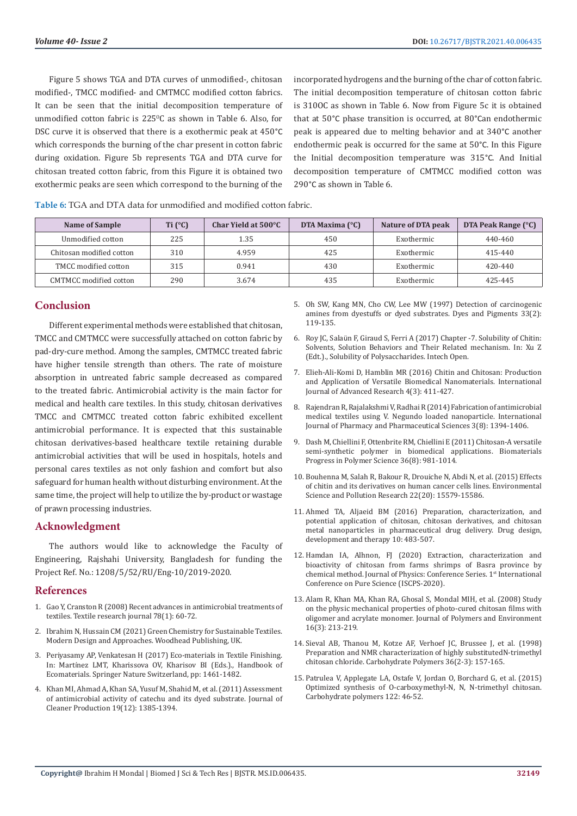Figure 5 shows TGA and DTA curves of unmodified-, chitosan modified-, TMCC modified- and CMTMCC modified cotton fabrics. It can be seen that the initial decomposition temperature of unmodified cotton fabric is  $225^{\circ}$ C as shown in Table 6. Also, for DSC curve it is observed that there is a exothermic peak at 450°C which corresponds the burning of the char present in cotton fabric during oxidation. Figure 5b represents TGA and DTA curve for chitosan treated cotton fabric, from this Figure it is obtained two exothermic peaks are seen which correspond to the burning of the incorporated hydrogens and the burning of the char of cotton fabric. The initial decomposition temperature of chitosan cotton fabric is 310OC as shown in Table 6. Now from Figure 5c it is obtained that at 50°C phase transition is occurred, at 80°Can endothermic peak is appeared due to melting behavior and at 340°C another endothermic peak is occurred for the same at 50°C. In this Figure the Initial decomposition temperature was 315°C. And Initial decomposition temperature of CMTMCC modified cotton was 290°C as shown in Table 6.

| Name of Sample           | Ti $(°C)$ | Char Yield at 500°C | DTA Maxima $(^{\circ}C)$ | Nature of DTA peak | DTA Peak Range (°C) |
|--------------------------|-----------|---------------------|--------------------------|--------------------|---------------------|
| Unmodified cotton        | 225       | 1.35                | 450                      | Exothermic         | 440-460             |
| Chitosan modified cotton | 310       | 4.959               | 425                      | Exothermic         | 415-440             |
| TMCC modified cotton     | 315       | 0.941               | 430                      | Exothermic         | 420-440             |
| CMTMCC modified cotton   | 290       | 3.674               | 435                      | Exothermic         | 425-445             |

# **Conclusion**

Different experimental methods were established that chitosan, TMCC and CMTMCC were successfully attached on cotton fabric by pad-dry-cure method. Among the samples, CMTMCC treated fabric have higher tensile strength than others. The rate of moisture absorption in untreated fabric sample decreased as compared to the treated fabric. Antimicrobial activity is the main factor for medical and health care textiles. In this study, chitosan derivatives TMCC and CMTMCC treated cotton fabric exhibited excellent antimicrobial performance. It is expected that this sustainable chitosan derivatives-based healthcare textile retaining durable antimicrobial activities that will be used in hospitals, hotels and personal cares textiles as not only fashion and comfort but also safeguard for human health without disturbing environment. At the same time, the project will help to utilize the by-product or wastage of prawn processing industries.

## **Acknowledgment**

The authors would like to acknowledge the Faculty of Engineering, Rajshahi University, Bangladesh for funding the Project Ref. No.: 1208/5/52/RU/Eng-10/2019-2020.

## **References**

- 1. [Gao Y, Cranston R \(2008\) Recent advances in antimicrobial treatments of](https://journals.sagepub.com/doi/10.1177/0040517507082332)  [textiles. Textile research journal 78\(1\): 60-72.](https://journals.sagepub.com/doi/10.1177/0040517507082332)
- 2. [Ibrahim N, Hussain CM \(2021\) Green Chemistry for Sustainable Textiles.](https://www.elsevier.com/books/green-chemistry-for-sustainable-textiles/ibrahim/978-0-323-85204-3)  [Modern Design and Approaches. Woodhead Publishing, UK.](https://www.elsevier.com/books/green-chemistry-for-sustainable-textiles/ibrahim/978-0-323-85204-3)
- 3. Periyasamy AP, Venkatesan H (2017) Eco-materials in Textile Finishing. In: Martínez LMT, Kharissova OV, Kharisov BI (Eds.)., Handbook of Ecomaterials. Springer Nature Switzerland, pp: 1461-1482.
- 4. [Khan MI, Ahmad A, Khan SA, Yusuf M, Shahid M, et al. \(2011\) Assessment](https://www.sciencedirect.com/science/article/abs/pii/S0959652611000898)  [of antimicrobial activity of catechu and its dyed substrate. Journal of](https://www.sciencedirect.com/science/article/abs/pii/S0959652611000898)  [Cleaner Production 19\(12\): 1385-1394.](https://www.sciencedirect.com/science/article/abs/pii/S0959652611000898)
- 5. [Oh SW, Kang MN, Cho CW, Lee MW \(1997\) Detection of carcinogenic](https://www.infona.pl/resource/bwmeta1.element.elsevier-c6be7137-517f-3228-afc2-d2cb340e3fbb) [amines from dyestuffs or dyed substrates. Dyes and Pigments 33\(2\):](https://www.infona.pl/resource/bwmeta1.element.elsevier-c6be7137-517f-3228-afc2-d2cb340e3fbb) [119-135.](https://www.infona.pl/resource/bwmeta1.element.elsevier-c6be7137-517f-3228-afc2-d2cb340e3fbb)
- 6. Roy JC, Salaü[n F, Giraud S, Ferri A \(2017\) Chapter -7. Solubility of Chitin:](https://www.intechopen.com/chapters/57402) [Solvents, Solution Behaviors and Their Related mechanism. In: Xu Z](https://www.intechopen.com/chapters/57402) [\(Edt.\)., Solubility of Polysaccharides. Intech Open.](https://www.intechopen.com/chapters/57402)
- 7. [Elieh-Ali-Komi D, Hamblin MR \(2016\) Chitin and Chitosan: Production](https://pubmed.ncbi.nlm.nih.gov/27819009/) [and Application of Versatile Biomedical Nanomaterials. International](https://pubmed.ncbi.nlm.nih.gov/27819009/) [Journal of Advanced Research 4\(3\): 411-427.](https://pubmed.ncbi.nlm.nih.gov/27819009/)
- 8. [Rajendran R, Rajalakshmi V, Radhai R \(2014\) Fabrication of antimicrobial](https://www.cabdirect.org/cabdirect/abstract/20143284161) [medical textiles using V. Negundo loaded nanoparticle. International](https://www.cabdirect.org/cabdirect/abstract/20143284161) [Journal of Pharmacy and Pharmaceutical Sciences 3\(8\): 1394-1406.](https://www.cabdirect.org/cabdirect/abstract/20143284161)
- 9. [Dash M, Chiellini F, Ottenbrite RM, Chiellini E \(2011\) Chitosan-A versatile](https://www.sciencedirect.com/science/article/pii/S007967001100027X) [semi-synthetic polymer in biomedical applications. Biomaterials](https://www.sciencedirect.com/science/article/pii/S007967001100027X) [Progress in Polymer Science 36\(8\): 981-1014.](https://www.sciencedirect.com/science/article/pii/S007967001100027X)
- 10. [Bouhenna M, Salah R, Bakour R, Drouiche N, Abdi N, et al. \(2015\) Effects](https://pubmed.ncbi.nlm.nih.gov/26013739/) [of chitin and its derivatives on human cancer cells lines. Environmental](https://pubmed.ncbi.nlm.nih.gov/26013739/) [Science and Pollution Research 22\(20\): 15579-15586.](https://pubmed.ncbi.nlm.nih.gov/26013739/)
- 11. [Ahmed TA, Aljaeid BM \(2016\) Preparation, characterization, and](https://pubmed.ncbi.nlm.nih.gov/26869768/) [potential application of chitosan, chitosan derivatives, and chitosan](https://pubmed.ncbi.nlm.nih.gov/26869768/) [metal nanoparticles in pharmaceutical drug delivery. Drug design,](https://pubmed.ncbi.nlm.nih.gov/26869768/) [development and therapy 10: 483-507.](https://pubmed.ncbi.nlm.nih.gov/26869768/)
- 12. [Hamdan IA, Alhnon, FJ \(2020\) Extraction, characterization and](https://iopscience.iop.org/article/10.1088/1742-6596/1660/1/012023/pdf) [bioactivity of chitosan from farms shrimps of Basra province by](https://iopscience.iop.org/article/10.1088/1742-6596/1660/1/012023/pdf) chemical method. Journal of Physics: Conference Series. 1<sup>st</sup> International [Conference on Pure Science \(ISCPS-2020\).](https://iopscience.iop.org/article/10.1088/1742-6596/1660/1/012023/pdf)
- 13. [Alam R, Khan MA, Khan RA, Ghosal S, Mondal MIH, et al. \(2008\) Study](https://www.researchgate.net/publication/227191307_Study_on_the_Physico-mechanical_Properties_of_Photo-cured_Chitosan_Films_with_Oligomer_and_Acrylate_Monomer) [on the physic mechanical properties of photo-cured chitosan films with](https://www.researchgate.net/publication/227191307_Study_on_the_Physico-mechanical_Properties_of_Photo-cured_Chitosan_Films_with_Oligomer_and_Acrylate_Monomer) [oligomer and acrylate monomer. Journal of Polymers and Environment](https://www.researchgate.net/publication/227191307_Study_on_the_Physico-mechanical_Properties_of_Photo-cured_Chitosan_Films_with_Oligomer_and_Acrylate_Monomer) [16\(3\): 213-219.](https://www.researchgate.net/publication/227191307_Study_on_the_Physico-mechanical_Properties_of_Photo-cured_Chitosan_Films_with_Oligomer_and_Acrylate_Monomer)
- 14. [Sieval AB, Thanou M, Kotze AF, Verhoef JC, Brussee J, et al. \(1998\)](https://www.sciencedirect.com/science/article/abs/pii/S0144861798000095) [Preparation and NMR characterization of highly substitutedN-trimethyl](https://www.sciencedirect.com/science/article/abs/pii/S0144861798000095) [chitosan chloride. Carbohydrate Polymers 36\(2-3\): 157-165.](https://www.sciencedirect.com/science/article/abs/pii/S0144861798000095)
- 15. [Patrulea V, Applegate LA, Ostafe V, Jordan O, Borchard G, et al. \(2015\)](https://pubmed.ncbi.nlm.nih.gov/25817641/) [Optimized synthesis of O-carboxymethyl-N, N, N-trimethyl chitosan.](https://pubmed.ncbi.nlm.nih.gov/25817641/) [Carbohydrate polymers 122: 46-52.](https://pubmed.ncbi.nlm.nih.gov/25817641/)